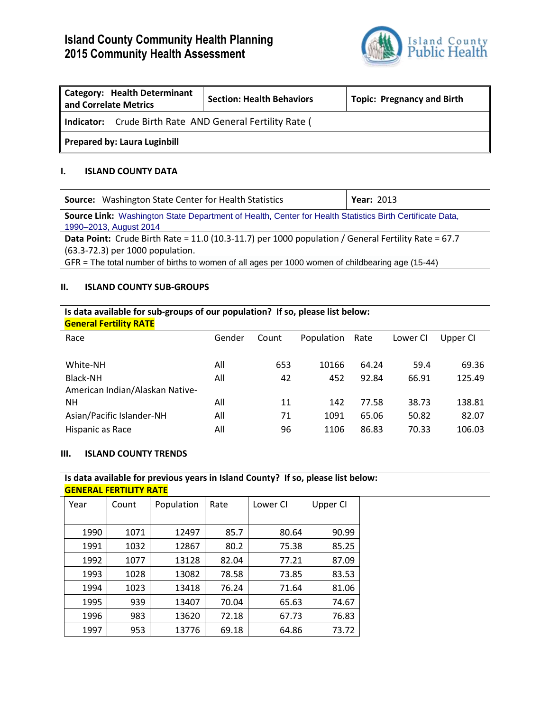# **Island County Community Health Planning 2015 Community Health Assessment**



| <b>Category: Health Determinant</b><br>and Correlate Metrics    | <b>Section: Health Behaviors</b> | <b>Topic: Pregnancy and Birth</b> |
|-----------------------------------------------------------------|----------------------------------|-----------------------------------|
| <b>Indicator:</b> Crude Birth Rate AND General Fertility Rate ( |                                  |                                   |
| <b>Prepared by: Laura Luginbill</b>                             |                                  |                                   |

### **I. ISLAND COUNTY DATA**

| <b>Source:</b> Washington State Center for Health Statistics                                                                                                                                                                                | <b>Year: 2013</b> |  |  |  |
|---------------------------------------------------------------------------------------------------------------------------------------------------------------------------------------------------------------------------------------------|-------------------|--|--|--|
| Source Link: Washington State Department of Health, Center for Health Statistics Birth Certificate Data,<br>1990-2013, August 2014                                                                                                          |                   |  |  |  |
| Data Point: Crude Birth Rate = 11.0 (10.3-11.7) per 1000 population / General Fertility Rate = 67.7<br>(63.3-72.3) per 1000 population.<br>GFR = The total number of births to women of all ages per 1000 women of childbearing age (15-44) |                   |  |  |  |

### **II. ISLAND COUNTY SUB-GROUPS**

| Is data available for sub-groups of our population? If so, please list below:<br><b>General Fertility RATE</b> |        |       |            |       |          |          |
|----------------------------------------------------------------------------------------------------------------|--------|-------|------------|-------|----------|----------|
| Race                                                                                                           | Gender | Count | Population | Rate  | Lower CI | Upper CI |
| White-NH                                                                                                       | All    | 653   | 10166      | 64.24 | 59.4     | 69.36    |
| Black-NH<br>American Indian/Alaskan Native-                                                                    | All    | 42    | 452        | 92.84 | 66.91    | 125.49   |
| NΗ                                                                                                             | All    | 11    | 142        | 77.58 | 38.73    | 138.81   |
| Asian/Pacific Islander-NH                                                                                      | All    | 71    | 1091       | 65.06 | 50.82    | 82.07    |
| Hispanic as Race                                                                                               | All    | 96    | 1106       | 86.83 | 70.33    | 106.03   |

### **III. ISLAND COUNTY TRENDS**

| <b>GENERAL FERTILITY RATE</b> |       |            |       | Is data available for previous years in Island County? If so, please list below: |          |  |
|-------------------------------|-------|------------|-------|----------------------------------------------------------------------------------|----------|--|
| Year                          | Count | Population | Rate  | Lower CI                                                                         | Upper CI |  |
|                               |       |            |       |                                                                                  |          |  |
| 1990                          | 1071  | 12497      | 85.7  | 80.64                                                                            | 90.99    |  |
| 1991                          | 1032  | 12867      | 80.2  | 75.38                                                                            | 85.25    |  |
| 1992                          | 1077  | 13128      | 82.04 | 77.21                                                                            | 87.09    |  |
| 1993                          | 1028  | 13082      | 78.58 | 73.85                                                                            | 83.53    |  |
| 1994                          | 1023  | 13418      | 76.24 | 71.64                                                                            | 81.06    |  |
| 1995                          | 939   | 13407      | 70.04 | 65.63                                                                            | 74.67    |  |
| 1996                          | 983   | 13620      | 72.18 | 67.73                                                                            | 76.83    |  |
| 1997                          | 953   | 13776      | 69.18 | 64.86                                                                            | 73.72    |  |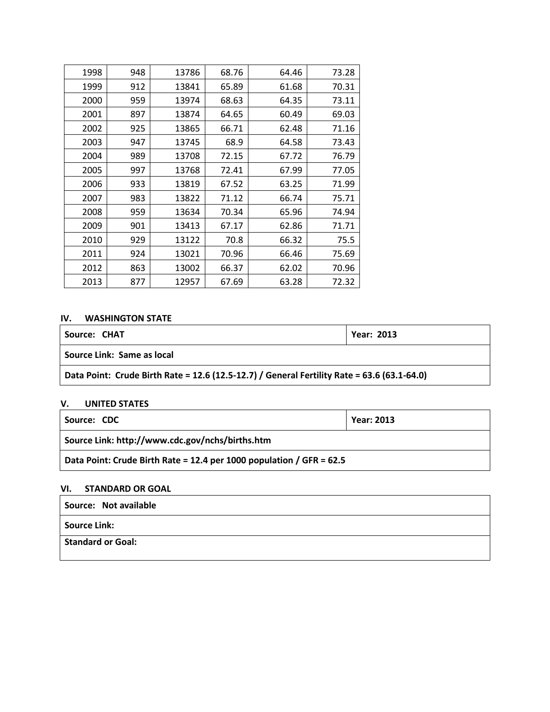| 1998 | 948 | 13786 | 68.76 | 64.46 | 73.28 |
|------|-----|-------|-------|-------|-------|
| 1999 | 912 | 13841 | 65.89 | 61.68 | 70.31 |
| 2000 | 959 | 13974 | 68.63 | 64.35 | 73.11 |
| 2001 | 897 | 13874 | 64.65 | 60.49 | 69.03 |
| 2002 | 925 | 13865 | 66.71 | 62.48 | 71.16 |
| 2003 | 947 | 13745 | 68.9  | 64.58 | 73.43 |
| 2004 | 989 | 13708 | 72.15 | 67.72 | 76.79 |
| 2005 | 997 | 13768 | 72.41 | 67.99 | 77.05 |
| 2006 | 933 | 13819 | 67.52 | 63.25 | 71.99 |
| 2007 | 983 | 13822 | 71.12 | 66.74 | 75.71 |
| 2008 | 959 | 13634 | 70.34 | 65.96 | 74.94 |
| 2009 | 901 | 13413 | 67.17 | 62.86 | 71.71 |
| 2010 | 929 | 13122 | 70.8  | 66.32 | 75.5  |
| 2011 | 924 | 13021 | 70.96 | 66.46 | 75.69 |
| 2012 | 863 | 13002 | 66.37 | 62.02 | 70.96 |
| 2013 | 877 | 12957 | 67.69 | 63.28 | 72.32 |

## **IV. WASHINGTON STATE**

| Source: CHAT                                                                                | <b>Year: 2013</b> |  |
|---------------------------------------------------------------------------------------------|-------------------|--|
| Source Link: Same as local                                                                  |                   |  |
| Data Point: Crude Birth Rate = 12.6 (12.5-12.7) / General Fertility Rate = 63.6 (63.1-64.0) |                   |  |

# **V. UNITED STATES**

| Source: CDC                                                          | <b>Year: 2013</b> |  |
|----------------------------------------------------------------------|-------------------|--|
| Source Link: http://www.cdc.gov/nchs/births.htm                      |                   |  |
| Data Point: Crude Birth Rate = 12.4 per 1000 population / GFR = 62.5 |                   |  |

# **VI. STANDARD OR GOAL**

| Source: Not available |
|-----------------------|
| Source Link:          |
| Standard or Goal:     |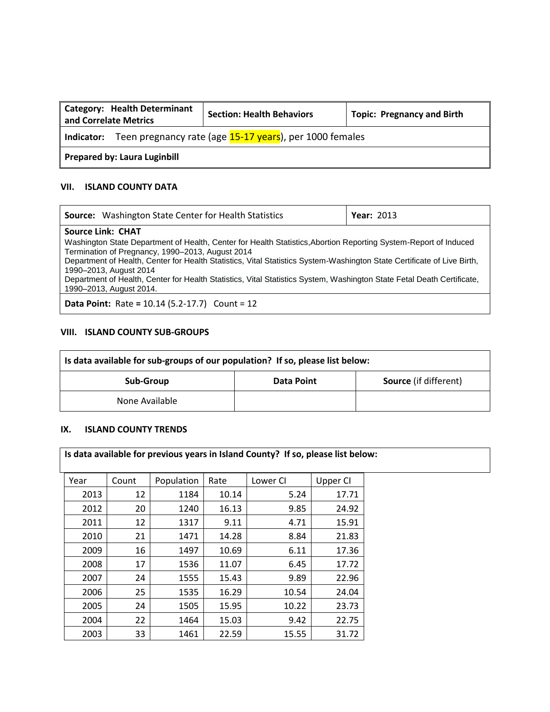| Category: Health Determinant<br>and Correlate Metrics | <b>Section: Health Behaviors</b>                                   | <b>Topic: Pregnancy and Birth</b> |
|-------------------------------------------------------|--------------------------------------------------------------------|-----------------------------------|
|                                                       | Indicator: Teen pregnancy rate (age 15-17 years), per 1000 females |                                   |
| Prepared by: Laura Luginbill                          |                                                                    |                                   |

#### **VII. ISLAND COUNTY DATA**

| <b>Source:</b> Washington State Center for Health Statistics                                                            | <b>Year: 2013</b> |
|-------------------------------------------------------------------------------------------------------------------------|-------------------|
| <b>Source Link: CHAT</b>                                                                                                |                   |
| Washington State Department of Health, Center for Health Statistics, Abortion Reporting System-Report of Induced        |                   |
| Termination of Pregnancy, 1990–2013, August 2014                                                                        |                   |
| Department of Health, Center for Health Statistics, Vital Statistics System-Washington State Certificate of Live Birth, |                   |
| 1990-2013, August 2014                                                                                                  |                   |
| Department of Health, Center for Health Statistics, Vital Statistics System, Washington State Fetal Death Certificate,  |                   |
| 1990-2013, August 2014.                                                                                                 |                   |
| <b>Data Point:</b> Rate = $10.14$ (5.2-17.7) Count = $12$                                                               |                   |

#### **VIII. ISLAND COUNTY SUB-GROUPS**

| Is data available for sub-groups of our population? If so, please list below: |                   |                              |
|-------------------------------------------------------------------------------|-------------------|------------------------------|
| Sub-Group                                                                     | <b>Data Point</b> | <b>Source</b> (if different) |
| None Available                                                                |                   |                              |

#### **IX. ISLAND COUNTY TRENDS**

|      |       |            |       | Is data available for previous years in Island County? If so, please list below: |          |
|------|-------|------------|-------|----------------------------------------------------------------------------------|----------|
| Year | Count | Population | Rate  | Lower CI                                                                         | Upper CI |
| 2013 | 12    | 1184       | 10.14 | 5.24                                                                             | 17.71    |
| 2012 | 20    | 1240       | 16.13 | 9.85                                                                             | 24.92    |
| 2011 | 12    | 1317       | 9.11  | 4.71                                                                             | 15.91    |
| 2010 | 21    | 1471       | 14.28 | 8.84                                                                             | 21.83    |
| 2009 | 16    | 1497       | 10.69 | 6.11                                                                             | 17.36    |
| 2008 | 17    | 1536       | 11.07 | 6.45                                                                             | 17.72    |
| 2007 | 24    | 1555       | 15.43 | 9.89                                                                             | 22.96    |
| 2006 | 25    | 1535       | 16.29 | 10.54                                                                            | 24.04    |
| 2005 | 24    | 1505       | 15.95 | 10.22                                                                            | 23.73    |
| 2004 | 22    | 1464       | 15.03 | 9.42                                                                             | 22.75    |
| 2003 | 33    | 1461       | 22.59 | 15.55                                                                            | 31.72    |